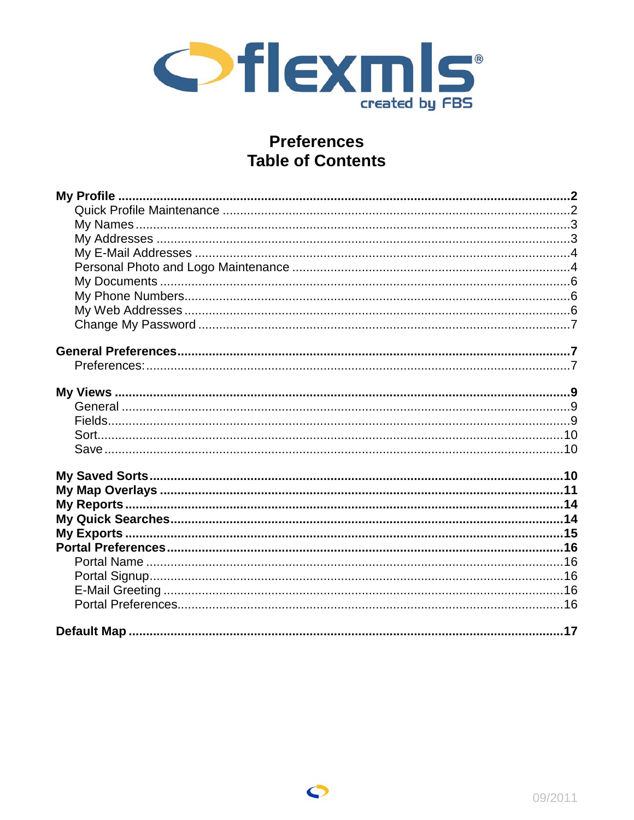

# **Preferences Table of Contents**

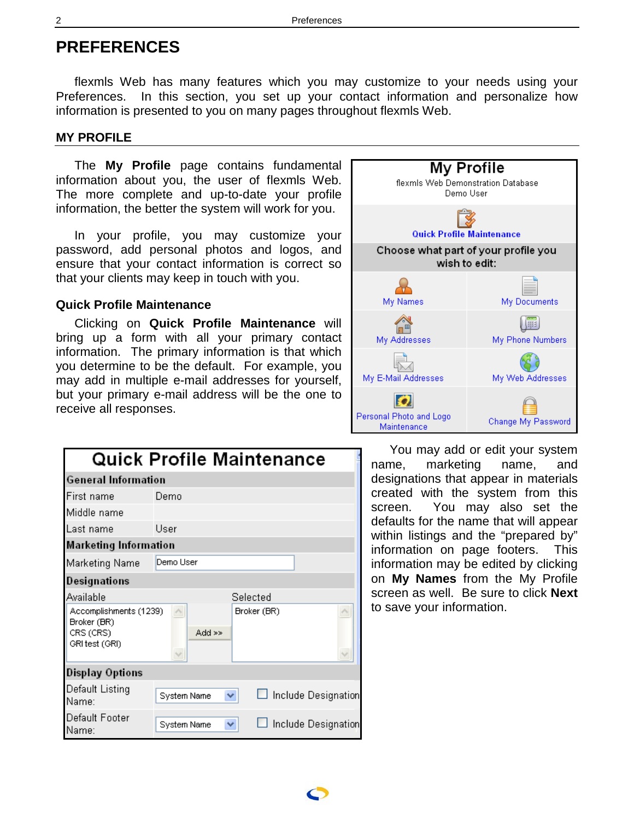# **PREFERENCES**

flexmls Web has many features which you may customize to your needs using your Preferences. In this section, you set up your contact information and personalize how information is presented to you on many pages throughout flexmls Web.

### **MY PROFILE**

The **My Profile** page contains fundamental information about you, the user of flexmls Web. The more complete and up-to-date your profile information, the better the system will work for you.

In your profile, you may customize your password, add personal photos and logos, and ensure that your contact information is correct so that your clients may keep in touch with you.

### **Quick Profile Maintenance**

Clicking on **Quick Profile Maintenance** will bring up a form with all your primary contact information. The primary information is that which you determine to be the default. For example, you may add in multiple e-mail addresses for yourself, but your primary e-mail address will be the one to receive all responses.

|                                                                      | Quick Profile Maintenance                |
|----------------------------------------------------------------------|------------------------------------------|
| <b>General Information</b>                                           |                                          |
| First name                                                           | Demo                                     |
| Middle name                                                          |                                          |
| Last name                                                            | User                                     |
| <b>Marketing Information</b>                                         |                                          |
| <b>Marketing Name</b>                                                | Demo User                                |
| Designations                                                         |                                          |
| Available                                                            | Selected                                 |
| Accomplishments (1239)<br>Broker (BR)<br>CRS (CRS)<br>GRI test (GRI) | Broker (BR)<br>$Add \geq$                |
| Display Options                                                      |                                          |
| Default Listing<br>Name:                                             | Include Designation<br>System Name<br>×. |
| Default Footer<br>Name:                                              | Include Designation<br>System Name<br>×. |



You may add or edit your system name, marketing name, and designations that appear in materials created with the system from this screen. You may also set the defaults for the name that will appear within listings and the "prepared by" information on page footers. This information may be edited by clicking on **My Names** from the My Profile screen as well. Be sure to click **Next** to save your information.

<span id="page-1-0"></span>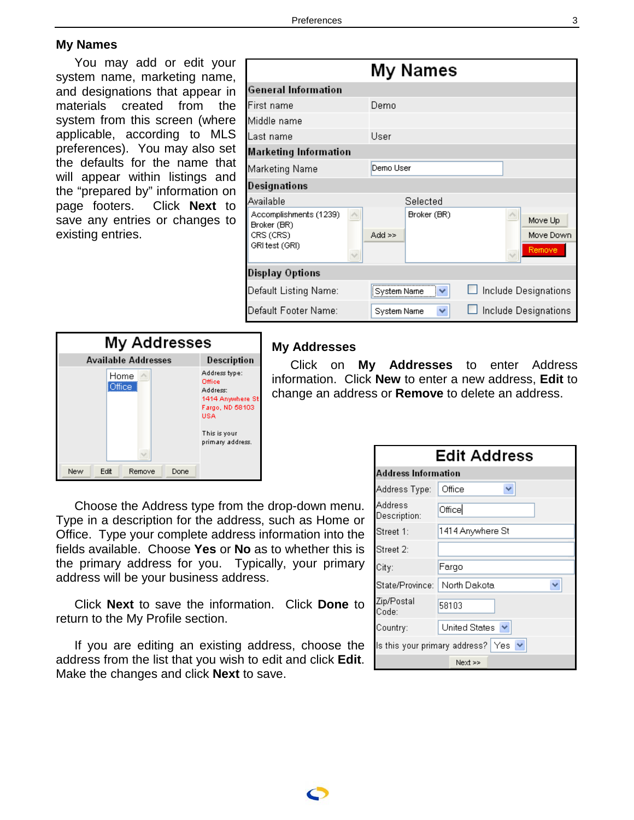### <span id="page-2-0"></span>**My Names**

You may add or edit your system name, marketing name, and designations that appear in materials created from the system from this screen (where applicable, according to MLS preferences). You may also set the defaults for the name that will appear within listings and the "prepared by" information on page footers. Click **Next** to save any entries or changes to existing entries.

|                                       | My Names                |                      |
|---------------------------------------|-------------------------|----------------------|
| <b>General Information</b>            |                         |                      |
| First name                            | Demo                    |                      |
| Middle name                           |                         |                      |
| Last name                             | User                    |                      |
| <b>Marketing Information</b>          |                         |                      |
| Marketing Name                        | Demo User               |                      |
| Designations                          |                         |                      |
| Available                             | Selected                |                      |
| Accomplishments (1239)<br>Broker (BR) | Broker (BR)             | Move Up              |
| CRS (CRS)                             | $Add \geq$              | Move Down            |
| GRI test (GRI)                        |                         | Remove               |
| <b>Display Options</b>                |                         |                      |
| Default Listing Name:                 | <b>System Name</b><br>v | Include Designations |
| Default Footer Name:                  | System Name<br>₩        | Include Designations |



#### **My Addresses**

Click on **My Addresses** to enter Address information. Click **New** to enter a new address, **Edit** to change an address or **Remove** to delete an address.

Choose the Address type from the drop-down menu. Type in a description for the address, such as Home or Office. Type your complete address information into the fields available. Choose **Yes** or **No** as to whether this is the primary address for you. Typically, your primary address will be your business address.

Click **Next** to save the information. Click **Done** to return to the My Profile section.

If you are editing an existing address, choose the address from the list that you wish to edit and click **Edit**. Make the changes and click **Next** to save.

| Edit Address                   |                                                         |  |  |  |
|--------------------------------|---------------------------------------------------------|--|--|--|
|                                | Address Information                                     |  |  |  |
| Address Type:                  | Office<br>v                                             |  |  |  |
| Address<br>Description:        | Office                                                  |  |  |  |
| Street 1:                      | 1414 Anywhere St                                        |  |  |  |
| Street 2:                      |                                                         |  |  |  |
| City:                          | Fargo                                                   |  |  |  |
| State/Province:   North Dakota |                                                         |  |  |  |
| Zip/Postal<br>Code:            | 58103                                                   |  |  |  |
| Country:                       | United States $\vee$                                    |  |  |  |
|                                | Is this your primary address? Yes $\blacktriangleright$ |  |  |  |
|                                | Next >>                                                 |  |  |  |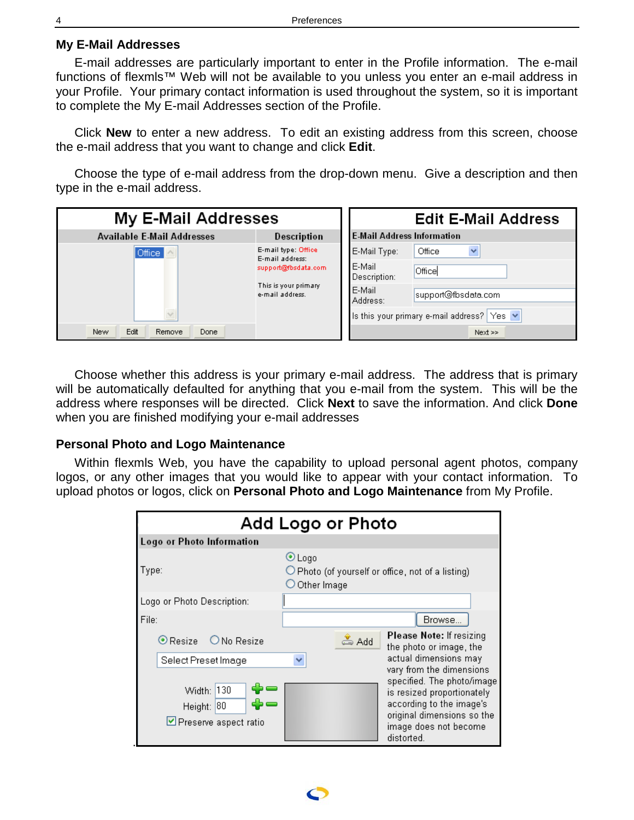### <span id="page-3-0"></span>**My E-Mail Addresses**

E-mail addresses are particularly important to enter in the Profile information. The e-mail functions of flexmls™ Web will not be available to you unless you enter an e-mail address in your Profile. Your primary contact information is used throughout the system, so it is important to complete the My E-mail Addresses section of the Profile.

Click **New** to enter a new address. To edit an existing address from this screen, choose the e-mail address that you want to change and click **Edit**.

Choose the type of e-mail address from the drop-down menu. Give a description and then type in the e-mail address.

| My E-Mail Addresses               |                                          | <b>Edit E-Mail Address</b>                |  |  |
|-----------------------------------|------------------------------------------|-------------------------------------------|--|--|
| <b>Available E-Mail Addresses</b> | Description                              | <b>E-Mail Address Information</b>         |  |  |
| Office                            | E-mail type: Office<br>E-mail address:   | E-Mail Type:<br>Office<br>×               |  |  |
|                                   | support@fbsdata.com                      | E-Mail<br>Office<br>Description:          |  |  |
|                                   | This is your primary.<br>e-mail address. | E-Mail<br>support@fbsdata.com<br>Address: |  |  |
|                                   |                                          | Is this your primary e-mail address? Yes  |  |  |
| Edit<br>New<br>Remove<br>Done     |                                          | $Next$ >>                                 |  |  |

Choose whether this address is your primary e-mail address. The address that is primary will be automatically defaulted for anything that you e-mail from the system. This will be the address where responses will be directed. Click **Next** to save the information. And click **Done**  when you are finished modifying your e-mail addresses

#### **Personal Photo and Logo Maintenance**

Within flexmls Web, you have the capability to upload personal agent photos, company logos, or any other images that you would like to appear with your contact information. To upload photos or logos, click on **Personal Photo and Logo Maintenance** from My Profile.

|                                                   | Add Logo or Photo                                                                                                                                                                     |
|---------------------------------------------------|---------------------------------------------------------------------------------------------------------------------------------------------------------------------------------------|
| Logo or Photo Information                         |                                                                                                                                                                                       |
| Type:                                             | $\odot$ Logo<br>$\bigcirc$ Photo (of yourself or office, not of a listing)<br>$\bigcirc$ Other Image                                                                                  |
| Logo or Photo Description:                        |                                                                                                                                                                                       |
| File:                                             | Browse                                                                                                                                                                                |
| $\odot$ Resize $\odot$ No Resize                  | <b>Please Note:</b> If resizing<br>$\xi$ Add<br>the photo or image, the                                                                                                               |
| Select Preset Image                               | actual dimensions may                                                                                                                                                                 |
| Width: 130<br>Height: 80<br>Preserve aspect ratio | vary from the dimensions<br>specified. The photo/image<br>is resized proportionately<br>according to the image's<br>original dimensions so the<br>image does not become<br>distorted. |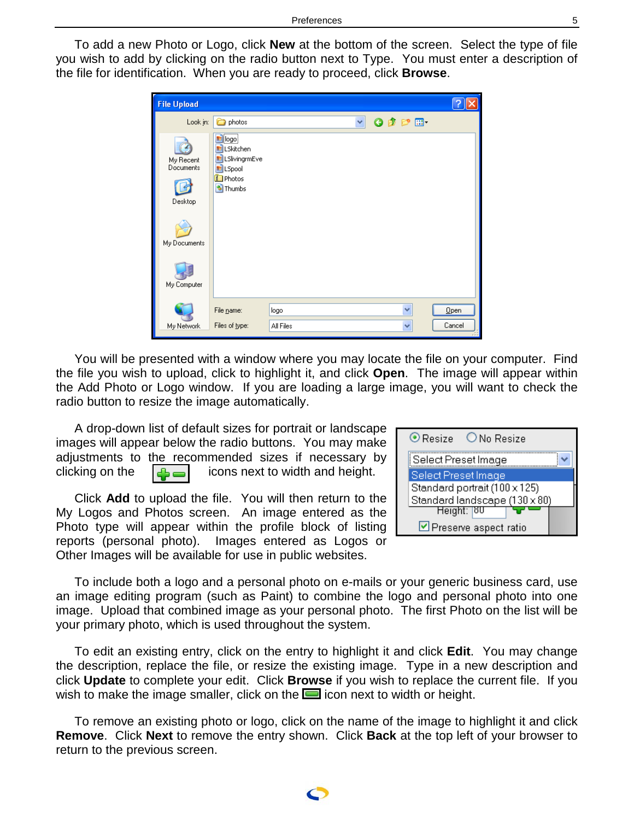To add a new Photo or Logo, click **New** at the bottom of the screen. Select the type of file you wish to add by clicking on the radio button next to Type. You must enter a description of the file for identification. When you are ready to proceed, click **Browse**.

| <b>File Upload</b>                                               |                                                                                                  |           |  |                 |        |
|------------------------------------------------------------------|--------------------------------------------------------------------------------------------------|-----------|--|-----------------|--------|
| Look in:                                                         | photos                                                                                           | Y         |  | $O$ $B$ $P$ $E$ |        |
| My Recent<br>Documents<br>Desktop<br>My Documents<br>My Computer | <b>El</b> logo<br>El LSkitchen<br>En LSlivingrmEve<br><b>E</b> LSpool<br>Photos<br><b>Thumbs</b> |           |  |                 |        |
|                                                                  | File name:                                                                                       | logo      |  | v               | Qpen   |
| My Network                                                       | Files of type:                                                                                   | All Files |  | v               | Cancel |

You will be presented with a window where you may locate the file on your computer. Find the file you wish to upload, click to highlight it, and click **Open**. The image will appear within the Add Photo or Logo window. If you are loading a large image, you will want to check the radio button to resize the image automatically.

A drop-down list of default sizes for portrait or landscape images will appear below the radio buttons. You may make adjustments to the recommended sizes if necessary by clicking on the  $\left| \bigoplus_{n=1}^{\infty}$  icons next to width and height.

Click **Add** to upload the file. You will then return to the My Logos and Photos screen. An image entered as the Photo type will appear within the profile block of listing reports (personal photo). Images entered as Logos or Other Images will be available for use in public websites.

| $\odot$ Resize<br>O No Resize |  |
|-------------------------------|--|
| Select Preset Image           |  |
| Select Preset Image           |  |
| Standard portrait (100 x 125) |  |
| Standard landscape (130 x 80) |  |
| Height: 80                    |  |
| Preserve aspect ratio         |  |

To include both a logo and a personal photo on e-mails or your generic business card, use an image editing program (such as Paint) to combine the logo and personal photo into one image. Upload that combined image as your personal photo. The first Photo on the list will be your primary photo, which is used throughout the system.

To edit an existing entry, click on the entry to highlight it and click **Edit**. You may change the description, replace the file, or resize the existing image. Type in a new description and click **Update** to complete your edit. Click **Browse** if you wish to replace the current file. If you wish to make the image smaller, click on the  $\Box$  icon next to width or height.

To remove an existing photo or logo, click on the name of the image to highlight it and click **Remove**. Click **Next** to remove the entry shown. Click **Back** at the top left of your browser to return to the previous screen.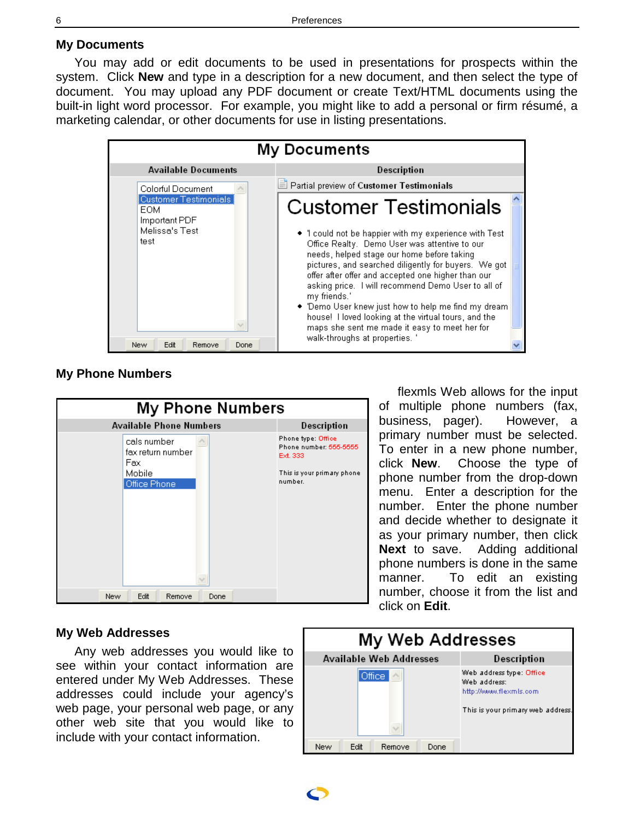### <span id="page-5-0"></span>**My Documents**

You may add or edit documents to be used in presentations for prospects within the system. Click **New** and type in a description for a new document, and then select the type of document. You may upload any PDF document or create Text/HTML documents using the built-in light word processor. For example, you might like to add a personal or firm résumé, a marketing calendar, or other documents for use in listing presentations.



#### **My Phone Numbers**



flexmls Web allows for the input of multiple phone numbers (fax, business, pager). However, a primary number must be selected. To enter in a new phone number, click **New**. Choose the type of phone number from the drop-down menu. Enter a description for the number. Enter the phone number and decide whether to designate it as your primary number, then click **Next** to save. Adding additional phone numbers is done in the same manner. To edit an existing number, choose it from the list and click on **Edit**.

### **My Web Addresses**

Any web addresses you would like to see within your contact information are entered under My Web Addresses. These addresses could include your agency's web page, your personal web page, or any other web site that you would like to include with your contact information.

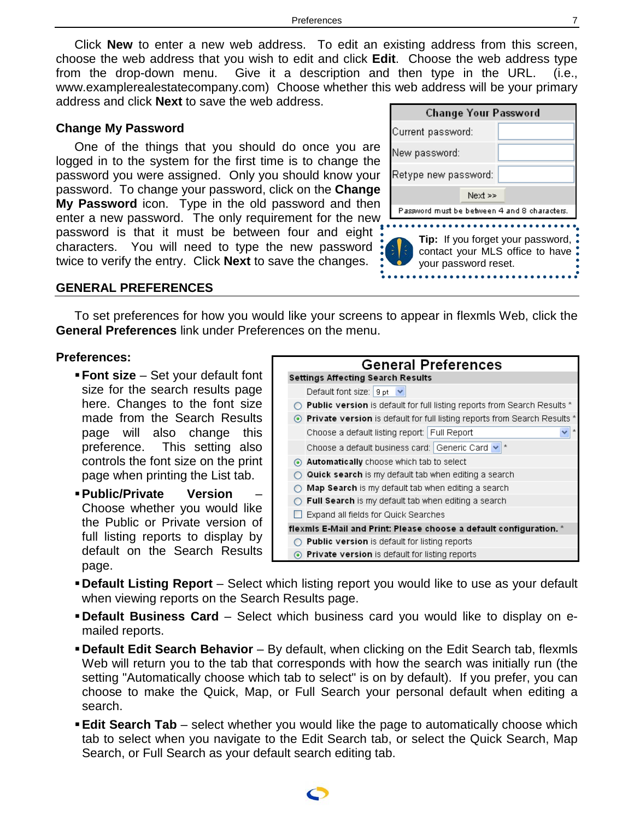<span id="page-6-0"></span>Click **New** to enter a new web address. To edit an existing address from this screen, choose the web address that you wish to edit and click **Edit**. Choose the web address type from the drop-down menu. Give it a description and then type in the URL. (i.e., www.examplerealestatecompany.com) Choose whether this web address will be your primary address and click **Next** to save the web address.

#### **Change My Password**

One of the things that you should do once you are logged in to the system for the first time is to change the password you were assigned. Only you should know your password. To change your password, click on the **Change My Password** icon. Type in the old password and then enter a new password. The only requirement for the new password is that it must be between four and eight characters. You will need to type the new password twice to verify the entry. Click **Next** to save the changes.

| <b>Change Your Password</b> |  |                                                                      |
|-----------------------------|--|----------------------------------------------------------------------|
| Current password:           |  |                                                                      |
| New password:               |  |                                                                      |
| Retype new password:        |  |                                                                      |
| Next >>                     |  |                                                                      |
|                             |  | Password must be between 4 and 8 characters.                         |
| k.<br>your password reset.  |  | Tip: If you forget your password,<br>contact your MLS office to have |

#### **GENERAL PREFERENCES**

To set preferences for how you would like your screens to appear in flexmls Web, click the **General Preferences** link under Preferences on the menu.

#### **Preferences:**

- **Font size** Set your default font size for the search results page here. Changes to the font size made from the Search Results page will also change this preference. This setting also controls the font size on the print page when printing the List tab.
- **Public/Private Version** Choose whether you would like the Public or Private version of full listing reports to display by default on the Search Results page.

| <b>General Preferences</b>                                                      |  |  |  |  |
|---------------------------------------------------------------------------------|--|--|--|--|
| <b>Settings Affecting Search Results</b>                                        |  |  |  |  |
| Default font size: $ 9pt  \vee$                                                 |  |  |  |  |
| <b>Public version</b> is default for full listing reports from Search Results * |  |  |  |  |
| ⊙ Private version is default for full listing reports from Search Results *     |  |  |  |  |
| Choose a default listing report: Full Report                                    |  |  |  |  |
| Choose a default business card: Generic Card v<br>大                             |  |  |  |  |
| Automatically choose which tab to select                                        |  |  |  |  |
| <b>Quick search</b> is my default tab when editing a search                     |  |  |  |  |
| Map Search is my default tab when editing a search                              |  |  |  |  |
| <b>Full Search</b> is my default tab when editing a search                      |  |  |  |  |
| Expand all fields for Quick Searches                                            |  |  |  |  |
| flexmis E-Mail and Print: Please choose a default configuration. *              |  |  |  |  |
| $\supset$ <b>Public version</b> is default for listing reports                  |  |  |  |  |
| <b>Private version</b> is default for listing reports                           |  |  |  |  |

- **Default Listing Report** Select which listing report you would like to use as your default when viewing reports on the Search Results page.
- **Default Business Card** Select which business card you would like to display on emailed reports.
- **Default Edit Search Behavior** By default, when clicking on the Edit Search tab, flexmls Web will return you to the tab that corresponds with how the search was initially run (the setting "Automatically choose which tab to select" is on by default). If you prefer, you can choose to make the Quick, Map, or Full Search your personal default when editing a search.
- **Edit Search Tab** select whether you would like the page to automatically choose which tab to select when you navigate to the Edit Search tab, or select the Quick Search, Map Search, or Full Search as your default search editing tab.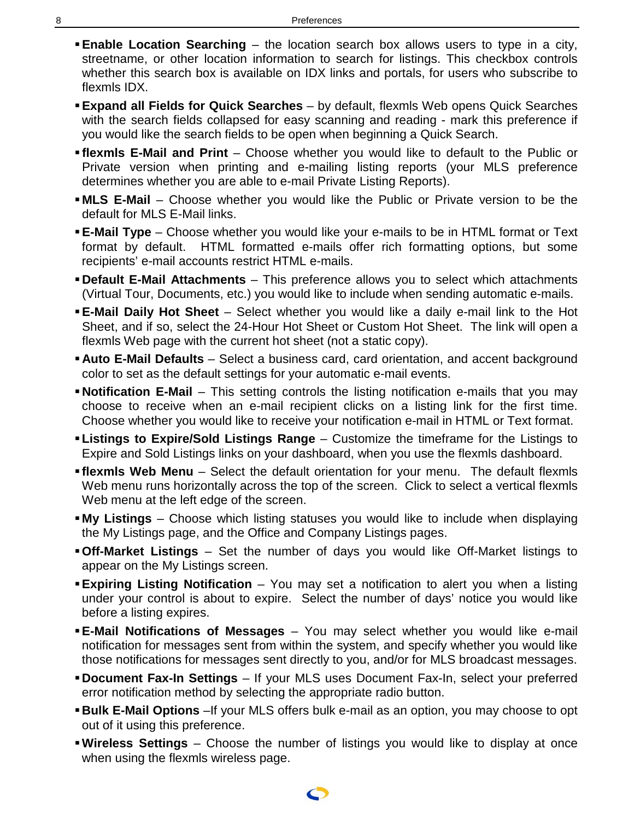- **Enable Location Searching**  the location search box allows users to type in a city, streetname, or other location information to search for listings. This checkbox controls whether this search box is available on IDX links and portals, for users who subscribe to flexmls IDX.
- **Expand all Fields for Quick Searches** by default, flexmls Web opens Quick Searches with the search fields collapsed for easy scanning and reading - mark this preference if you would like the search fields to be open when beginning a Quick Search.
- **flexmls E-Mail and Print** Choose whether you would like to default to the Public or Private version when printing and e-mailing listing reports (your MLS preference determines whether you are able to e-mail Private Listing Reports).
- **MLS E-Mail** Choose whether you would like the Public or Private version to be the default for MLS E-Mail links.
- **E-Mail Type** Choose whether you would like your e-mails to be in HTML format or Text format by default. HTML formatted e-mails offer rich formatting options, but some recipients' e-mail accounts restrict HTML e-mails.
- **Default E-Mail Attachments** This preference allows you to select which attachments (Virtual Tour, Documents, etc.) you would like to include when sending automatic e-mails.
- **E-Mail Daily Hot Sheet** Select whether you would like a daily e-mail link to the Hot Sheet, and if so, select the 24-Hour Hot Sheet or Custom Hot Sheet. The link will open a flexmls Web page with the current hot sheet (not a static copy).
- **Auto E-Mail Defaults** Select a business card, card orientation, and accent background color to set as the default settings for your automatic e-mail events.
- **Notification E-Mail** This setting controls the listing notification e-mails that you may choose to receive when an e-mail recipient clicks on a listing link for the first time. Choose whether you would like to receive your notification e-mail in HTML or Text format.
- **Listings to Expire/Sold Listings Range** Customize the timeframe for the Listings to Expire and Sold Listings links on your dashboard, when you use the flexmls dashboard.
- **Filexmls Web Menu** Select the default orientation for your menu. The default flexmls Web menu runs horizontally across the top of the screen. Click to select a vertical flexmls Web menu at the left edge of the screen.
- **My Listings** Choose which listing statuses you would like to include when displaying the My Listings page, and the Office and Company Listings pages.
- **Off-Market Listings** Set the number of days you would like Off-Market listings to appear on the My Listings screen.
- **Expiring Listing Notification** You may set a notification to alert you when a listing under your control is about to expire. Select the number of days' notice you would like before a listing expires.
- **E-Mail Notifications of Messages**  You may select whether you would like e-mail notification for messages sent from within the system, and specify whether you would like those notifications for messages sent directly to you, and/or for MLS broadcast messages.
- **Document Fax-In Settings** If your MLS uses Document Fax-In, select your preferred error notification method by selecting the appropriate radio button.
- **Bulk E-Mail Options** –If your MLS offers bulk e-mail as an option, you may choose to opt out of it using this preference.
- **Wireless Settings** Choose the number of listings you would like to display at once when using the flexmls wireless page.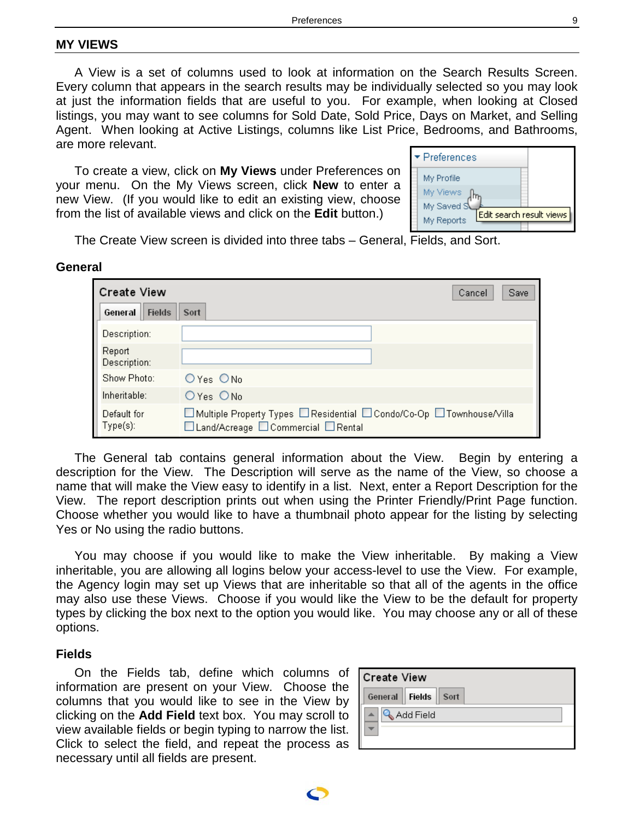### <span id="page-8-0"></span>**MY VIEWS**

A View is a set of columns used to look at information on the Search Results Screen. Every column that appears in the search results may be individually selected so you may look at just the information fields that are useful to you. For example, when looking at Closed listings, you may want to see columns for Sold Date, Sold Price, Days on Market, and Selling Agent. When looking at Active Listings, columns like List Price, Bedrooms, and Bathrooms, are more relevant.

To create a view, click on **My Views** under Preferences on your menu. On the My Views screen, click **New** to enter a new View. (If you would like to edit an existing view, choose from the list of available views and click on the **Edit** button.)

| $\blacktriangleright$ Preferences                    |  |
|------------------------------------------------------|--|
| My Profile<br>My Views                               |  |
| My Saved S<br>Edit search result views<br>My Reports |  |

The Create View screen is divided into three tabs – General, Fields, and Sort.

#### **General**

| <b>Create View</b>       | Save<br>Cancel                                                                                               |
|--------------------------|--------------------------------------------------------------------------------------------------------------|
| General<br><b>Fields</b> | Sort                                                                                                         |
| Description:             |                                                                                                              |
| Report<br>Description:   |                                                                                                              |
| Show Photo:              | $O$ Yes $O$ No                                                                                               |
| Inheritable:             | OYes ONo                                                                                                     |
| Default for<br>Type(s):  | □ Multiple Property Types □ Residential □ Condo/Co-Op □ Townhouse/Villa<br>□Land/Acreage □Commercial □Rental |

The General tab contains general information about the View. Begin by entering a description for the View. The Description will serve as the name of the View, so choose a name that will make the View easy to identify in a list. Next, enter a Report Description for the View. The report description prints out when using the Printer Friendly/Print Page function. Choose whether you would like to have a thumbnail photo appear for the listing by selecting Yes or No using the radio buttons.

You may choose if you would like to make the View inheritable. By making a View inheritable, you are allowing all logins below your access-level to use the View. For example, the Agency login may set up Views that are inheritable so that all of the agents in the office may also use these Views. Choose if you would like the View to be the default for property types by clicking the box next to the option you would like. You may choose any or all of these options.

#### **Fields**

On the Fields tab, define which columns of information are present on your View. Choose the columns that you would like to see in the View by clicking on the **Add Field** text box. You may scroll to view available fields or begin typing to narrow the list. Click to select the field, and repeat the process as necessary until all fields are present.

| <b>Create View</b>        |  |  |  |  |  |
|---------------------------|--|--|--|--|--|
| General    Fields    Sort |  |  |  |  |  |
| Add Field                 |  |  |  |  |  |
|                           |  |  |  |  |  |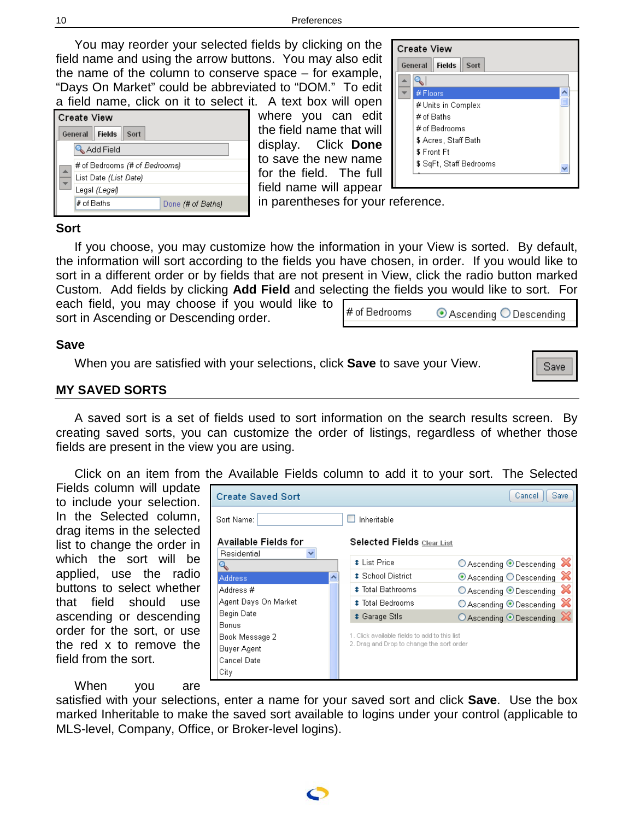<span id="page-9-0"></span>You may reorder your selected fields by clicking on the field name and using the arrow buttons. You may also edit the name of the column to conserve space – for example, "Days On Market" could be abbreviated to "DOM." To edit a field name, click on it to select it. A text box will open

| <b>Create View</b> |                                   |  |  |  |  |  |
|--------------------|-----------------------------------|--|--|--|--|--|
|                    | <b>Fields</b><br>General<br>Sort  |  |  |  |  |  |
|                    | Add Field                         |  |  |  |  |  |
|                    | # of Bedrooms (# of Bedrooms)     |  |  |  |  |  |
|                    | List Date (List Date)             |  |  |  |  |  |
|                    | Legal <i>(Legal)</i>              |  |  |  |  |  |
|                    | $#$ of Baths<br>Done (# of Baths) |  |  |  |  |  |
|                    |                                   |  |  |  |  |  |

where you can edit the field name that will display. Click **Done** to save the new name for the field. The full field name will appear in parentheses for your reference.

| <b>Create View</b>               |  |
|----------------------------------|--|
| General<br><b>Fields</b><br>Sort |  |
|                                  |  |
| # Floors                         |  |
| # Units in Complex               |  |
| $#$ of Baths                     |  |
| # of Bedrooms                    |  |
| \$ Acres, Staff Bath             |  |
| \$ Front Ft                      |  |
| \$ SqFt, Staff Bedrooms          |  |
|                                  |  |

⊙ Ascending O Descending

Save

Cancel | Save

⋙

○ Ascending ● Descending

 $\odot$  Ascending  $\bigcirc$  Descending  $\boxtimes$ 

 $\bigcirc$  Ascending  $\bigcirc$  Descending  $\mathbb{\mathbb{X}}$ 

 $\bigcirc$  Ascending  $\bigcirc$  Descending  $\mathbb{\mathbb{X}}$ 

○ Ascending ● Descending

### **Sort**

If you choose, you may customize how the information in your View is sorted. By default, the information will sort according to the fields you have chosen, in order. If you would like to sort in a different order or by fields that are not present in View, click the radio button marked Custom. Add fields by clicking **Add Field** and selecting the fields you would like to sort. For

# of Bedrooms

 $\Box$  Inheritable

# List Price

# School District

# Total Bathrooms

**\* Total Bedrooms** 

# Garage Stls

Selected Fields Clear List

1. Click available fields to add to this list

2. Drag and Drop to change the sort order

each field, you may choose if you would like to sort in Ascending or Descending order.

When you are satisfied with your selections, click **Save** to save your View.

**Create Saved Sort** 

Available Fields for

Agent Days On Market

Sort Name:

Residential

**Address** 

Address #

Begin Date

**Buyer Agent** Cancel Date City

Book Message 2

Bonus

Q

### **MY SAVED SORTS**

A saved sort is a set of fields used to sort information on the search results screen. By creating saved sorts, you can customize the order of listings, regardless of whether those fields are present in the view you are using.

Click on an item from the Available Fields column to add it to your sort. The Selected

×

Fields column will update to include your selection. In the Selected column, drag items in the selected list to change the order in which the sort will be applied, use the radio buttons to select whether that field should use ascending or descending order for the sort, or use the red x to remove the field from the sort.

When you are

satisfied with your selections, enter a name for your saved sort and click **Save**. Use the box marked Inheritable to make the saved sort available to logins under your control (applicable to MLS-level, Company, Office, or Broker-level logins).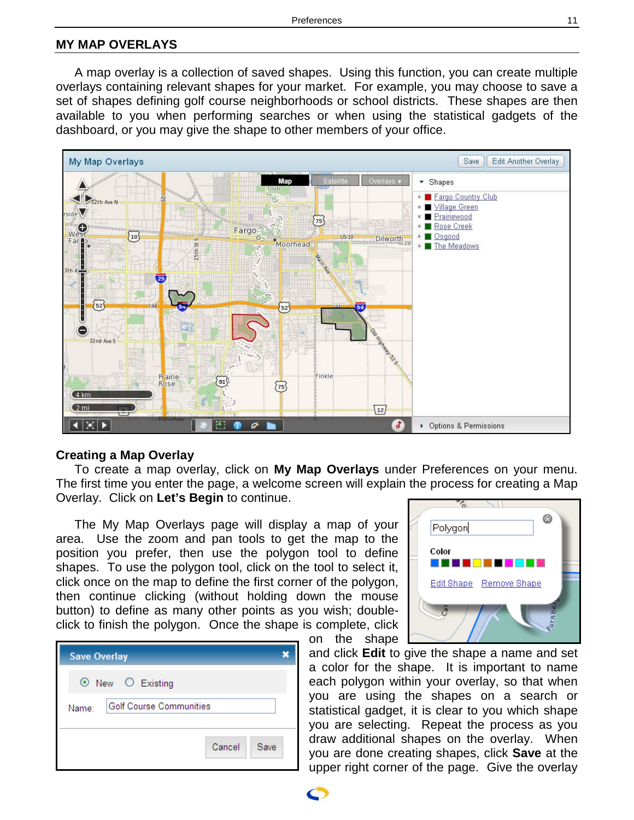### <span id="page-10-0"></span>**MY MAP OVERLAYS**

A map overlay is a collection of saved shapes. Using this function, you can create multiple overlays containing relevant shapes for your market. For example, you may choose to save a set of shapes defining golf course neighborhoods or school districts. These shapes are then available to you when performing searches or when using the statistical gadgets of the dashboard, or you may give the shape to other members of your office.



#### **Creating a Map Overlay**

To create a map overlay, click on **My Map Overlays** under Preferences on your menu. The first time you enter the page, a welcome screen will explain the process for creating a Map Overlay. Click on **Let's Begin** to continue.

on the shape

The My Map Overlays page will display a map of your area. Use the zoom and pan tools to get the map to the position you prefer, then use the polygon tool to define shapes. To use the polygon tool, click on the tool to select it, click once on the map to define the first corner of the polygon, then continue clicking (without holding down the mouse button) to define as many other points as you wish; doubleclick to finish the polygon. Once the shape is complete, click

| <b>Save Overlay</b> |                         |        |      |
|---------------------|-------------------------|--------|------|
| ⊙ New ○ Existing    |                         |        |      |
| Name:               | Golf Course Communities |        |      |
|                     |                         | Cancel | Save |



and click **Edit** to give the shape a name and set a color for the shape. It is important to name each polygon within your overlay, so that when you are using the shapes on a search or statistical gadget, it is clear to you which shape you are selecting. Repeat the process as you draw additional shapes on the overlay. When you are done creating shapes, click **Save** at the upper right corner of the page. Give the overlay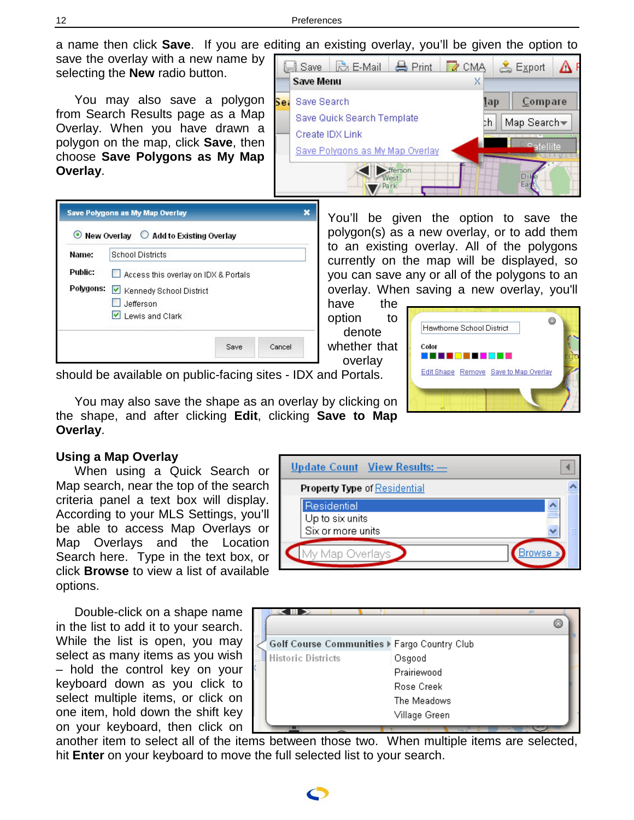a name then click **Save**. If you are editing an existing overlay, you'll be given the option to

save the overlay with a new name by selecting the **New** radio button.

You may also save a polygon from Search Results page as a Map Overlay. When you have drawn a polygon on the map, click **Save**, then choose **Save Polygons as My Map Overlay**.

|                 | Save             |                                 | $\mathbb{R}$ E-Mail $\mathbb{H}$ Print | $R_{CMA}$         |            | <b>图</b> Export |  |  |
|-----------------|------------------|---------------------------------|----------------------------------------|-------------------|------------|-----------------|--|--|
|                 | <b>Save Menu</b> |                                 |                                        |                   |            |                 |  |  |
| ie:             | Save Search      |                                 |                                        |                   | <u>lap</u> | Compare         |  |  |
|                 |                  | Save Quick Search Template      |                                        | Map Search-<br>bh |            |                 |  |  |
| Create IDX Link |                  |                                 |                                        |                   |            |                 |  |  |
|                 |                  | Save Polygons as My Map Overlay |                                        |                   |            | e atellite      |  |  |
|                 |                  |                                 | fferson.<br>Park                       |                   |            |                 |  |  |

|         | ⊙ New Overlay ○ Add to Existing Overlay |  |  |  |
|---------|-----------------------------------------|--|--|--|
| Name:   | <b>School Districts</b>                 |  |  |  |
| Public: | Access this overlay on IDX & Portals    |  |  |  |
|         | Polygons: V Kennedy School District     |  |  |  |
|         |                                         |  |  |  |
|         | Jefferson<br>$ v $ I ewis and Clark     |  |  |  |

You'll be given the option to save the polygon(s) as a new overlay, or to add them to an existing overlay. All of the polygons currently on the map will be displayed, so you can save any or all of the polygons to an overlay. When saving a new overlay, you'll

have the option to denote whether that overlay



should be available on public-facing sites - IDX and Portals.

You may also save the shape as an overlay by clicking on the shape, and after clicking **Edit**, clicking **Save to Map Overlay**.

### **Using a Map Overlay**

When using a Quick Search or Map search, near the top of the search criteria panel a text box will display. According to your MLS Settings, you'll be able to access Map Overlays or Map Overlays and the Location Search here. Type in the text box, or click **Browse** to view a list of available options.

Double-click on a shape name in the list to add it to your search. While the list is open, you may select as many items as you wish – hold the control key on your keyboard down as you click to select multiple items, or click on one item, hold down the shift key on your keyboard, then click on





another item to select all of the items between those two. When multiple items are selected, hit **Enter** on your keyboard to move the full selected list to your search.

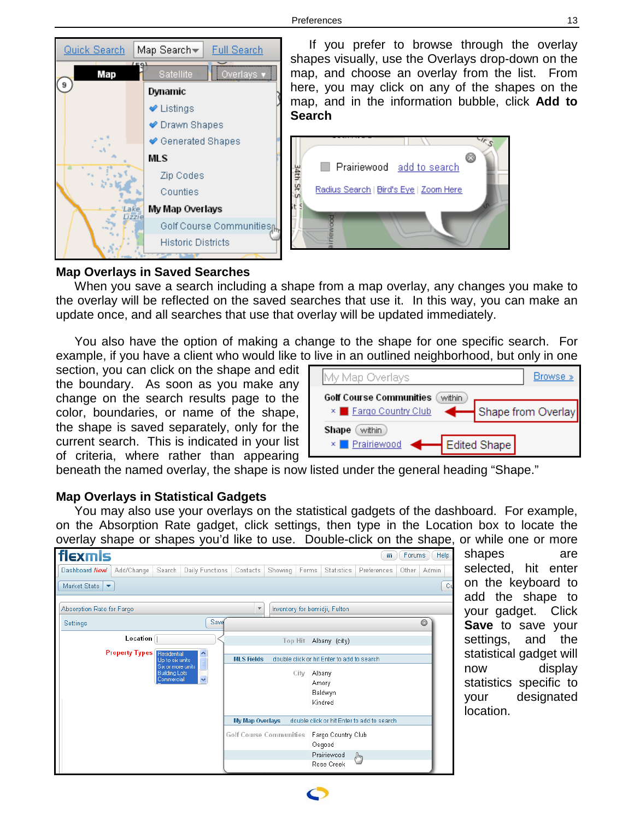

If you prefer to browse through the overlay shapes visually, use the Overlays drop-down on the map, and choose an overlay from the list. From here, you may click on any of the shapes on the map, and in the information bubble, click **Add to Search**



### **Map Overlays in Saved Searches**

When you save a search including a shape from a map overlay, any changes you make to the overlay will be reflected on the saved searches that use it. In this way, you can make an update once, and all searches that use that overlay will be updated immediately.

You also have the option of making a change to the shape for one specific search. For example, if you have a client who would like to live in an outlined neighborhood, but only in one

section, you can click on the shape and edit the boundary. As soon as you make any change on the search results page to the color, boundaries, or name of the shape, the shape is saved separately, only for the current search. This is indicated in your list of criteria, where rather than appearing

| My Map Overlays                                           | Browse »           |
|-----------------------------------------------------------|--------------------|
| Golf Course Communities<br>within<br>× Eargo Country Club | Shape from Overlay |
| Shape<br>within<br>× Prairiewood<br>Bolited Shape         |                    |

beneath the named overlay, the shape is now listed under the general heading "Shape."

### **Map Overlays in Statistical Gadgets**

You may also use your overlays on the statistical gadgets of the dashboard. For example, on the Absorption Rate gadget, click settings, then type in the Location box to locate the overlay shape or shapes you'd like to use. Double-click on the shape, or while one or more

| flexmls                              |                                                                                                                           |        |                   |                         |         |                                                               |                               | m.                                          | Forums | Help  |
|--------------------------------------|---------------------------------------------------------------------------------------------------------------------------|--------|-------------------|-------------------------|---------|---------------------------------------------------------------|-------------------------------|---------------------------------------------|--------|-------|
| Dashboard New!                       | Add/Change                                                                                                                | Search | Daily Functions   | Contacts                | Showing | Forms                                                         | <b>Statistics</b>             | Preferences                                 | Other  | Admin |
| Market Stats<br>$\blacktriangledown$ |                                                                                                                           |        |                   |                         |         |                                                               |                               |                                             |        | Cu    |
| Absorption Rate for Fargo            |                                                                                                                           |        |                   | $\overline{\mathbf{v}}$ |         |                                                               | Inventory for bemidji, Fulton |                                             |        |       |
| <b>Settings</b>                      |                                                                                                                           |        | Save              |                         |         |                                                               |                               |                                             |        | 0     |
|                                      | Local                                                                                                                     |        |                   |                         |         |                                                               | Top Hit Albany (city)         |                                             |        |       |
|                                      | <b>Property Types</b> Residential<br>Ą<br>Up to six units<br>Six or more units<br><b>Building Lots</b><br>v<br>Commercial |        | <b>MLS Fields</b> |                         | City    | double click or hit Enter to add to search<br>Albany<br>Amory |                               |                                             |        |       |
|                                      |                                                                                                                           |        |                   | My Map Overlays         |         |                                                               | Baldwyn<br>Kindred            | double click or hit Enter to add to search. |        |       |
|                                      |                                                                                                                           |        |                   | Golf Course Communities |         |                                                               | Fargo Country Club<br>Osgood  |                                             |        |       |
|                                      |                                                                                                                           |        |                   |                         |         |                                                               | Prairiewood<br>Rose Creek     | A <sub>h</sub>                              |        |       |

shapes are selected, hit enter on the keyboard to add the shape to your gadget. Click **Save** to save your settings, and the statistical gadget will now display statistics specific to your designated location.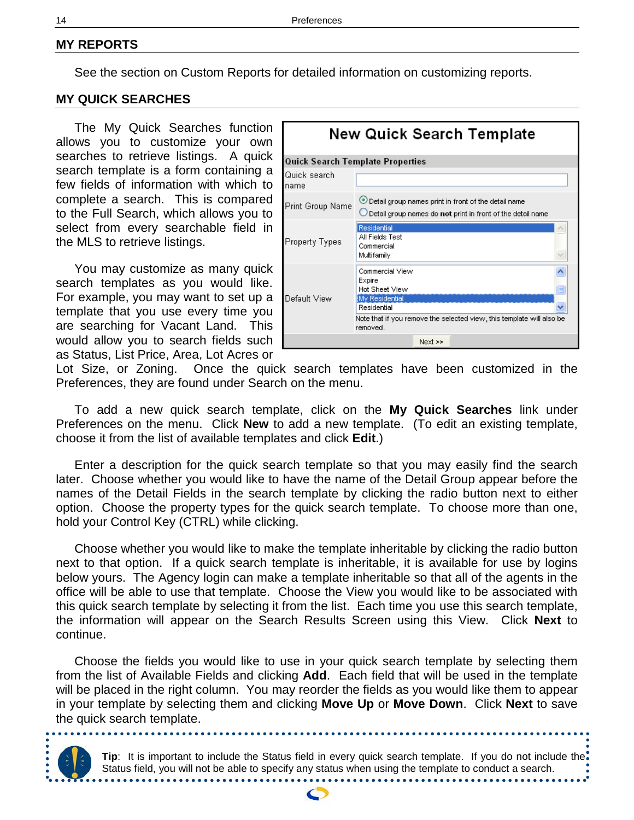### <span id="page-13-0"></span>**MY REPORTS**

See the section on Custom Reports for detailed information on customizing reports.

### **MY QUICK SEARCHES**

The My Quick Searches function allows you to customize your own searches to retrieve listings. A quick search template is a form containing a few fields of information with which to complete a search. This is compared to the Full Search, which allows you to select from every searchable field in the MLS to retrieve listings.

You may customize as many quick search templates as you would like. For example, you may want to set up a template that you use every time you are searching for Vacant Land. This would allow you to search fields such as Status, List Price, Area, Lot Acres or

| New Quick Search Template |                                                                                                                                                                          |  |  |  |  |
|---------------------------|--------------------------------------------------------------------------------------------------------------------------------------------------------------------------|--|--|--|--|
|                           | Quick Search Template Properties                                                                                                                                         |  |  |  |  |
| Quick search<br>name      |                                                                                                                                                                          |  |  |  |  |
| Print Group Name          | O Detail group names print in front of the detail name<br>Detail group names do not print in front of the detail name                                                    |  |  |  |  |
| Property Types            | Residential<br>All Fields Test<br>Commercial<br>Multifamily                                                                                                              |  |  |  |  |
| Default View              | Commercial View<br>Expire<br><b>Hot Sheet View</b><br>My Residential<br>Residential<br>Note that if you remove the selected view, this template will also be<br>removed. |  |  |  |  |
|                           | $Next$ >>                                                                                                                                                                |  |  |  |  |

Lot Size, or Zoning. Once the quick search templates have been customized in the Preferences, they are found under Search on the menu.

To add a new quick search template, click on the **My Quick Searches** link under Preferences on the menu. Click **New** to add a new template. (To edit an existing template, choose it from the list of available templates and click **Edit**.)

Enter a description for the quick search template so that you may easily find the search later. Choose whether you would like to have the name of the Detail Group appear before the names of the Detail Fields in the search template by clicking the radio button next to either option. Choose the property types for the quick search template. To choose more than one, hold your Control Key (CTRL) while clicking.

Choose whether you would like to make the template inheritable by clicking the radio button next to that option. If a quick search template is inheritable, it is available for use by logins below yours. The Agency login can make a template inheritable so that all of the agents in the office will be able to use that template. Choose the View you would like to be associated with this quick search template by selecting it from the list. Each time you use this search template, the information will appear on the Search Results Screen using this View. Click **Next** to continue.

Choose the fields you would like to use in your quick search template by selecting them from the list of Available Fields and clicking **Add**. Each field that will be used in the template will be placed in the right column. You may reorder the fields as you would like them to appear in your template by selecting them and clicking **Move Up** or **Move Down**. Click **Next** to save the quick search template.

**Tip**: It is important to include the Status field in every quick search template. If you do not include the Status field, you will not be able to specify any status when using the template to conduct a search.

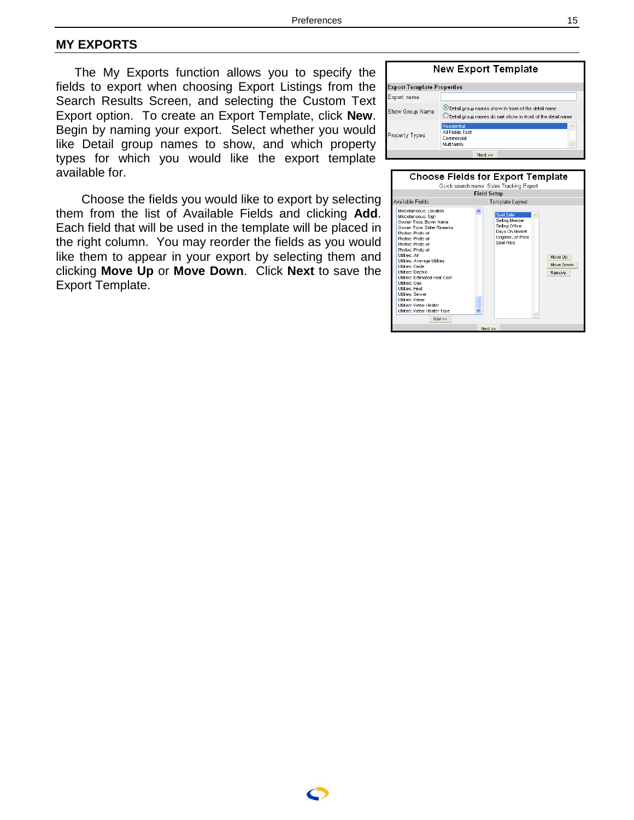#### <span id="page-14-0"></span>**MY EXPORTS**

The My Exports function allows you to specify the fields to export when choosing Export Listings from the Search Results Screen, and selecting the Custom Text Export option. To create an Export Template, click **New** . Begin by naming your export. Select whether you would like Detail group names to show, and which property types for which you would like the export template available for.

 Choose the fields you would like to export by selecting them from the list of Available Fields and clicking **Add**. Each field that will be used in the template will be placed in the right column. You may reorder the fields as you would like them to appear in your export by selecting them and clicking **Move Up** or **Move Down**. Click **Next** to save the Export Template.



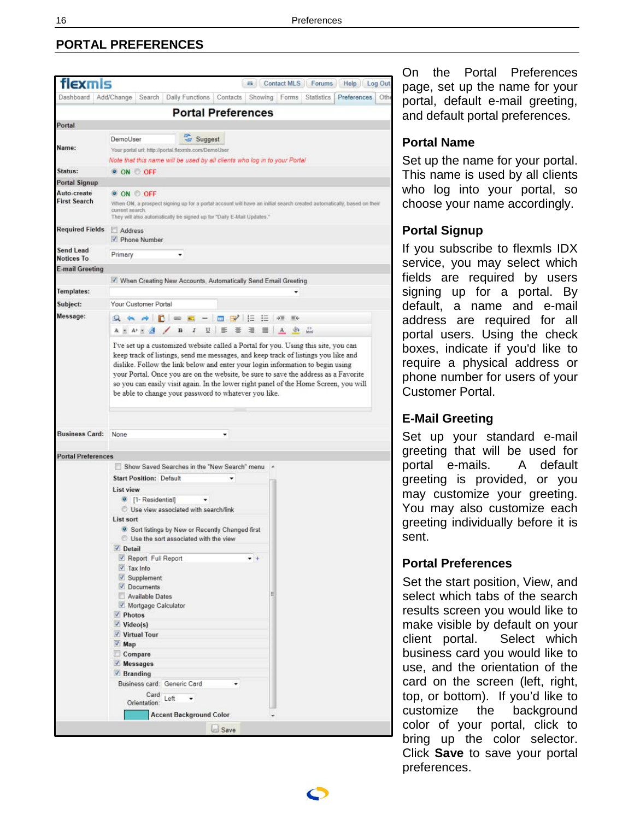# <span id="page-15-0"></span>**PORTAL PREFERENCES**



On the Portal Preferences page, set up the name for your portal, default e-mail greeting, and default portal preferences.

### **Portal Name**

Set up the name for your portal. This name is used by all clients who log into your portal, so choose your name accordingly.

## **Portal Signup**

If you subscribe to flexmls IDX service, you may select which fields are required by users signing up for a portal. By default, a name and e-mail address are required for all portal users. Using the check boxes, indicate if you'd like to require a physical address or phone number for users of your Customer Portal.

# **E-Mail Greeting**

Set up your standard e-mail greeting that will be used for portal e-mails. A default greeting is provided, or you may customize your greeting. You may also customize each greeting individually before it is sent.

# **Portal Preferences**

Set the start position, View, and select which tabs of the search results screen you would like to make visible by default on your client portal. Select which business card you would like to use, and the orientation of the card on the screen (left, right, top, or bottom). If you'd like to customize the background color of your portal, click to bring up the color selector. Click **Save** to save your portal preferences.